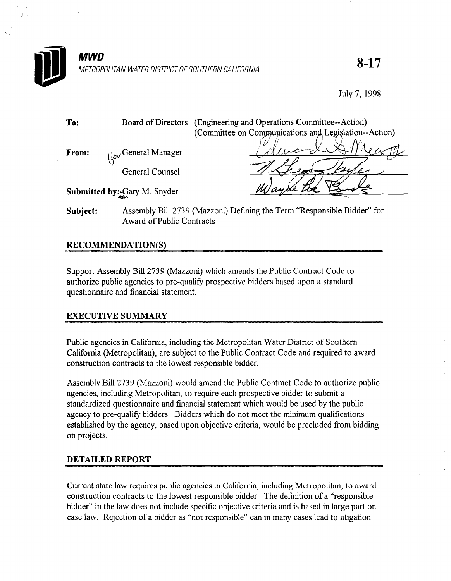

8-17

July 7, 1998

| To:   |                                            | Board of Directors (Engineering and Operations Committee--Action) |
|-------|--------------------------------------------|-------------------------------------------------------------------|
|       |                                            | (Committee on Communications and Legislation--Action)             |
| From: | $\mathbb{Q}_{\mathcal{O}}$ General Manager |                                                                   |
|       |                                            |                                                                   |
|       | General Counsel                            |                                                                   |
|       | Submitted by: Gary M. Snyder               | Wayne                                                             |

Subject: Assembly Bill 2739 (Mazzoni) Defining the Term "Responsible Bidder" for Award of Public Contracts

# RECOMMENDATION(S)

Support Assembly Bill 2739 (Mazzoni) which amends the Public Contract Code to  $\alpha$ uthorize public agencies to provide bidders based upon a standard upon a standard upon a standard upon a standard upon a standard upon a standard upon a standard upon a standard upon a standard upon a standard upon a authorize public agencies to pre-quali

# EXECUTIVE SUMMARY

Public agencies in California, including the Metropolitan Water District of Southern Fuone agencies in California, including the ivien opolitan water District of Southern California (Metropolitan), are subject to the Public Contract Code and required to award construction contracts to the lowest responsible bidder.

Assembly Bill  $2739$  (Mazzoni) would amend the Public Contract Code to author. agencies, including Metropolitan, to require each prospective bidder to submit a standardized questionnaire and financial statement which would be used by the public agency to pre-qualify bidders. Bidders which do not meet the minimum qualifications established by the agency, based upon objective criteria, would be precluded from bidding on projects.

# **DETAILED REPORT**

Current state law requires public agencies in California, including Metropolitan, to award construction contracts to the lowest responsible bidder. The definition of a "responsible bidder" in the law does not include specific objective criteria and is based in large part on case law. Rejection of a bidder as "not responsible" can in many cases lead to litigation.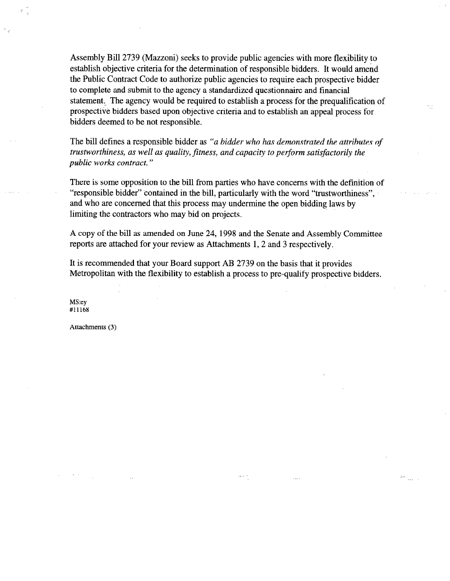Assembly Bill 2739 (Mazzoni) seeks to provide public agencies with more flexibility to establish objective criteria for the determination of responsible bidders. It would amend the Public Contract Code to authorize public agencies to require each prospective bidder to complete and submit to the agency a standardized questionnaire and financial statement, The agency would be required to establish a process for the prequalification of prospective bidders based upon objective criteria and to establish an appeal process for bidders deemed to be not responsible.

The bill defines a responsible bidder as "a bidder who has demonstrated the attributes of trustworthiness, as well as quality, fitness, and capacity to perform satisfactorily the public works contract. "

There is some opposition to the bill from parties who have concerns with the definition of "responsible bidder" contained in the bill, particularly with the word "trustworthiness", and who are concerned that this process may undermine the open bidding laws by limiting the contractors who may bid on projects.

A copy of the bill as amended on June 24,1998 and the Senate and Assembly Committee reports are attached for your review as Attachments 1,2 and 3 respectively.

It is recommended that your Board support AB 2739 on the basis that it provides Metropolitan with the flexibility to establish a process to pre-qualify prospective bidders.

 $\epsilon \propto \omega$ 

MS:ey #11168

Attachments (3)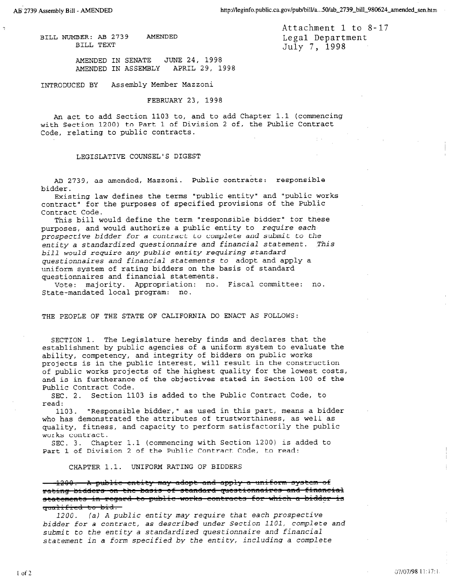7

BILL NUMBER: AB 2739 AMENDED BILL TEXT

Attachment 1 to 8-17 Legal Department July 7, 1998

AMENDED IN SENATE JUNE 24, 1998 AMENDED IN ASSEMBLY APRIL 29, 1998

INTRODUCED BY Assembly Member Mazzoni

FEBRUARY 23, 1998

An act to add Section 1103 to, and to add Chapter 1.1 (commencing with Section 1200) to Part 1 of Division 2 of, the Public Contract Code, relating to public contracts.

#### LEGISLATIVE COUNSEL'S DIGEST

AB 2739, as amended, Mazzoni. Public contracts: responsible bidder.

Existing law defines the terms "public entity" and "public works contract" for the purposes of specified provisions of the Public Contract Code.

This bill would define the term "responsible bidder" for these purposes, and would authorize a public entity to require each prospective bidder for a contract to complete and submit to the entity a standardized questionnaire and financial statement. This bill would require any public entity requiring standard questionnaires and financial statements to adopt and apply a uniform system of rating bidders on the basis of standard questionnaires and financial statements.

Vote: majority. Appropriation: no. Fiscal committee: no. State-mandated local program: nc.

THE PEOPLE OF THE STATE OF CALIFORNIA DO ENACT AS FOLLOWS:

SECTION 1. The Legislature hereby finds and declares that the establishment by public agencies of a uniform system to evaluate the ability, competency, and integrity of bidders on public works projects is in the public interest, will result in the construction of public works projects of the highest quality for the lowest costs, and is in furtherance of the objectives stated in Section 100 of the Public Contract Code.

SEC. 2. Section 1103 is added to the Public Contract Code, to read:

1103. "Responsible bidder," as used in this part, means a bidder who has demonstrated the attributes of trustworthines as well as who has demonstrated the actributes of the satisfactorily the public the public  $\frac{1}{2}$ quality, fitness, and capacity to perform satisfactorily the public works contract. SEC. 3. Chapter 1.1 (commencing with Section 1200) is added to

Part 1. Commencing with Section 1200, to

CHAPTER 1.1. UNIFORM RATING OF BIDDERS

1200. A public entity may adopt and apply a uniform system of rating bidders on the basis of standard questionnaires and financial statements in regard to public works contracts for which a bidder is<br>cualified to bid. 11<del>1100. (al A public entity may require that each prospective may require that each prospective that each prospective</del>

 $b_{1200}$ , (a) A public entity may require that each prospective bidder for a contract, as described under Section 1101, complete and submit to the entity a standardized questionnaire and financial<br>statement in a form specified by the entity, including a complete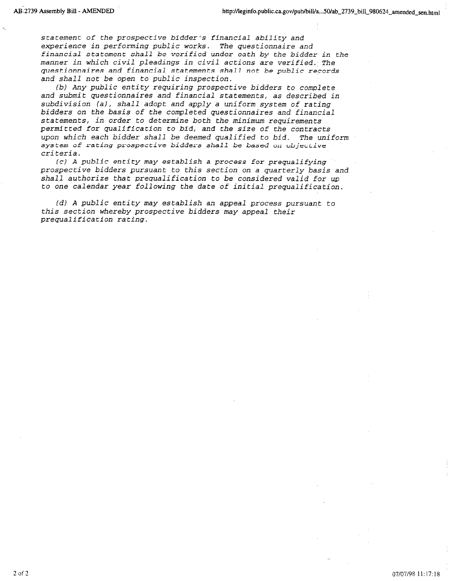statement of the prospective bidder's financial ability and experience in performing public works. The questionnaire and financial statement shall be verified under oath by the bidder in the manner in which civil pleadings in civil actions are verified. The questionnaires and financial statements shall not be public records and shall not be open to public inspection.

(b) Any public entity requiring prospective bidders to complete and submit questionnaires and financial statements, as described in subdivision (a), shall adopt and apply a uniform system of rating bidders on the basis of the completed questionnaires and financial statements, in order to determine both the minimum requirements permitted for qualification to bid, and the size of the contracts upon which each bidder shall be deemed qualified to bid. The uniform system of rating prospective bidders shall be based on objective criteria.

(c) A public entity may establish a process for prequalifying prospective bidders pursuant to this section on a quarterly basis and shall authorize that prequalification to be considered valid for up to one calendar year following the date of initial prequalification.

(d) A public entity may establish an appeal process pursuant to this section whereby prospective bidders may appeal their prequalification rating.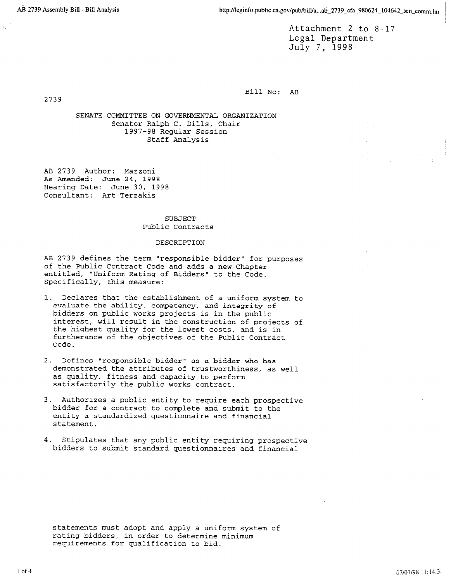Attachment 2 to 8-17 Legal Department July 7, 1998

Bill No: AB

2739

SENATE COMMITTEE ON GOVERNMENTAL ORGANIZATION Senator Ralph C. Dills, Chair 1997-98 Regular Session Staff Analysis

AB 2739 Author: Mazzoni As Amended: June 24, 1998 Hearing Date: June 30, 1998 Consultant: Art Terzakis

### SUBJECT Public Contracts

#### DESCRIPTION

AB 2739 defines the term "responsible bidder" for purposes of the Public Contract Code and adds a new Chapter entitled, "Uniform Rating of Bidders" to the Code. Specifically, this measure:

- 1. Declares that the establishment of a uniform system to evaluate the ability, competency, and integrity of bidders on public works projects is in the public interest, will result in the construction of projects of the highest quality for the lowest costs, and is in furtherance of the objectives of the Public Contract Code.
- 2. Defines "responsible bidder" as a bidder who has demonstrated the attributes of trustworthiness, as well as quality, fitness and capacity to perform satisfactorily the public works contract.
- 3. Authorizes a public entity to require each prospective bidder for a contract to complete and submit to the entity a standardized questionnaire and financial statement.
- 4. Stipulates that any public entity requiring prospective bidders to submit standard questionnaires and financial

statements must adopt and apply a uniform system of statements must auopt and apply a uniform s rating bidders, in order to determine minimum<br>requirements for qualification to bid.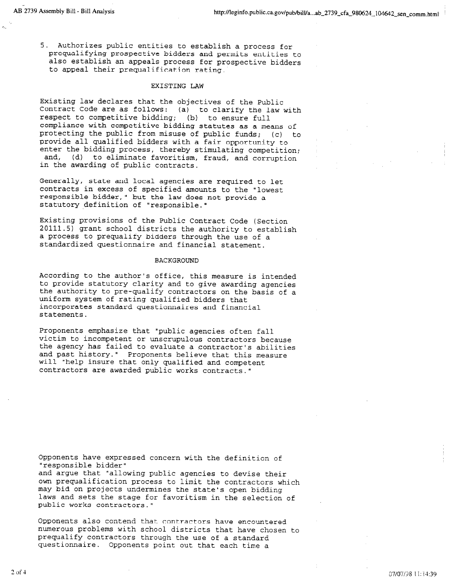5. Authorizes public entities to establish a process for prequalifying prospective bidders and permits entities to also establish an appeals process for prospective bidders to appeal their prequalification rating.

### EXISTING LAW

Existing law declares that the objectives of the Public Contract Code are as follows: (a) to clarify the law with respect to competitive bidding; (b) to ensure full compliance with competitive bidding statutes as a means of protecting the public from misuse of public funds; (c) to provide all qualified bidders with a fair opportunity to enter the bidding process, thereby stimulating competition; and, (d) to eliminate favoritism, fraud, and corruption in the awarding of public contracts.

Generally, state and local agencies are required to let contracts in excess of specified amounts to the "lowest responsible bidder," but the law does not provide a statutory definition of "responsible."

Existing provisions of the Public Contract Code (Section 20111.5) grant school districts the authority to establish a process to prequalify bidders through the use of a standardized questionnaire and financial stateme

### BACKGROUND

According to the author 's office, this measure is intended to provide statutory clarity and to give awarding agencies the authority to pre-qualify contractors on the basis of a uniform system of rating qualified bidders that incorporates standard questionnaires and financial statements.

Proponents emphasize that "public agencies often fall victim to incompetent or unscrupulous contractors because the agency has failed to evaluate a contractor's abilities and past history." Proponents believe that this measure will "help insure that only qualified and competent contractors are awarded public works contracts."

Opponents have expressed concern with the definition of "responsible bidder"

and argue that "allowing public agencies to devise their own prequalification process to limit the contractors which may bid on projects undermines the stately one biddi laws and sets the stage for favorities the scale is open bidding laws and sets the stage for favoritism in the selection of public works contractors."

Opponents also contend that contractors have encountered opponents and learned that contractors have encountered present is the use of a standard through the use of a standard through the use of a standard through the use o<br>Indicated the use of a standard through the use of a standard through the use of a standard through the use of prequalify contractors through the use of a standard<br>questionnaire. Opponents point out that each time a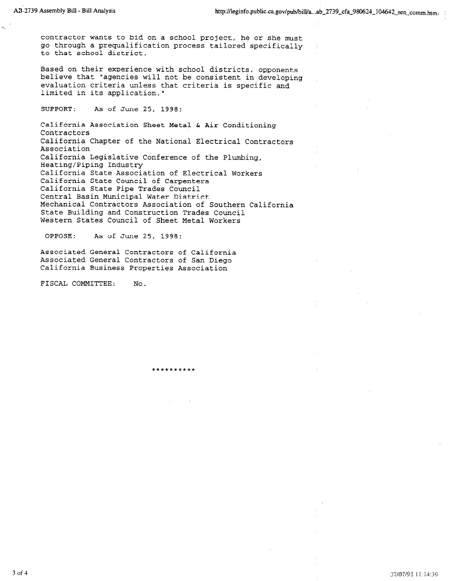contractor wants to bid on a school project, he or she must go through a prequalification process tailored specifically to that school district.

Based on their experience with school districts, opponents believe that "agencies will not be consistent in developing evaluation criteria unless that criteria is specific and limited in its application."

SUPPORT: As of June 25, 1998:

California Association Sheet Metal & Air Conditioning **Contractors** California Chapter of the National Electrical Contractors Association California Legislative Conference of the Plumbing, Heating/Piping Industry California State Association of Electrical Workers California State Council of Carpenters California State Pipe Trades Council Central Basin Municipal Water District Mechanical Contractors Association of Southern California State Building and Construction Trades Council 'Western States Council of Sheet Metal Workers

A.\*\*\*\*\*\*\*\*\*

OPPOSE: As of June 25, 1998:

Associated General Contractors of California Associated General Contractors of San Diego California Business Properties Association

FISCAL COMMITTEE: No.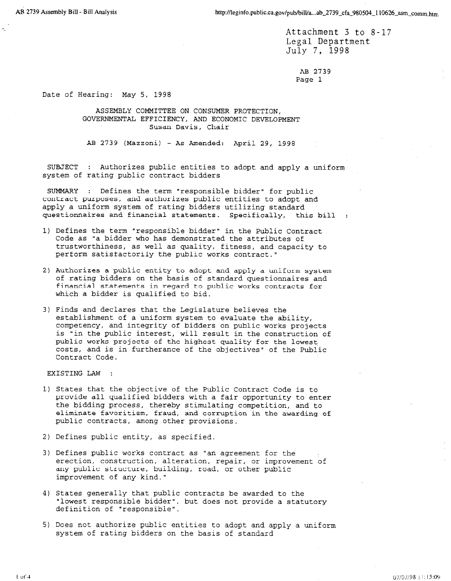Attachment 3 to 8-17 Legal Department July 7, 1998

> AB 2739 Page 1

Date of Hearing: May 5, 1998

ASSEMBLY COMMITTEE ON CONSUMER PROTECTION, GOVERNMENTAL EFFICIENCY, AND ECONOMIC DEVELOPMENT Susan Davis, Chair

AB 2739 (Mazzoni) - As Amended: April 29, 1998

SUBJECT : Authorizes public entities to adopt and apply a uniform' system of rating public contract bidders

 $SUSO(1)$  is defined the term "responsible bidder" for public bidder  $f(x)$ sommat . Defines the term responsible bruder for public contract purposes, and authorizes public entities to adopt and<br>apply a uniform system of rating bidders utilizing standard questionnaires and financial statements. Specifically, this bill :

1) Defines the term "responsible bidder" in the Public Contract  $\overline{P}$ Defines the term "responsible bidder" in the Public Cont Code as "a bidder who has demonstrated the attributes of trustworthiness, as well as quality, fitness, and capacity to perform satisfactorily the public works contract."

2) Authorizes a public entity to adopt and apply a uniform system

- 2) Authorizes a public entity to adopt and apply a uniform system of rating bidders on the basis of standard questionnaires and financial statements in regard to public works contracts for which a bidder is qualified to bid.
- 3) Finds and declares that the Legislature believes the establishment of a uniform system to evaluate the ability, competency, and integrity of bidders on public works projects is "in the public interest, will result in the construction of public works projects of the highest quality for the lowest costs, and is in furtherance of the objectives" of the Public Contract Code.

EXISTING LAW :

- 1) States that the objective of the Public Contract Code is to provide all qualified bidders with a fair opportunity to enter the bidding process, thereby stimulating competition, and to eliminate favoritism, fraud, and corruption in the awarding of public contracts, among other provisions.
- 2) Defines public entity, as specified.
- 3) Defines public works contract as "an agreement for the erection, construction, alteration, repair, or improvement of any public structure, building, road, or other public  $\mathcal{A}$  states generally that public contracts be awarded to the awarded to the awarded to the awarded to the awarded to the awarded to the awarded to the awarded to the awarded to the awarded to the awarded to the award

3) Defines public works contract as "an agreement for the

- 4) States generally that public contracts be awarded to the "lowest responsible bidder", but does not provide a statutory  $\mathbf{S}$  does not allow public entities to adopt and apply a uniform public entities to adopt and apply a uniform
- 5) Does not authorize public entities to adopt and apply a uniform system of rating bidders on the basis of standard

 $1$  of  $4$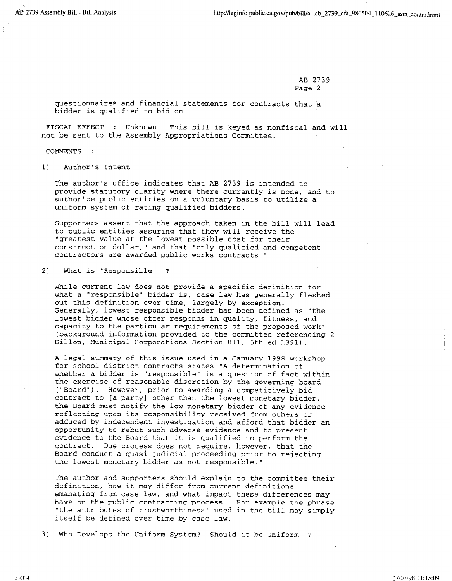AB 2739 Page 2

questionnaires and financial statements for contracts that a bidder is qualified to bid on.

FISCAL EFFECT : Unknown. This bill is keyed as nonfiscal and will not be sent to the Assembly Appropriations Committee.

COMMENTS :

1) Author's Intent

The author's office indicates that AB 2739 is intended to provide statutory clarity where there currently is none, and to authorize public entities on a voluntary basis to utilize a uniform system of rating qualified bidders.

Supporters assembly that the approach taken in the bill  $\mathcal{L}$  will lead  $\mathcal{L}$ bupporters assert that the approach taxen in the birit to public entities assuring that they will receive the "greatest value at the lowest possible cost for their construction dollar, " and that "only qualified and competent contractors are awarded public works contracts."

2) What is "Responsible" ?

While current law does not provide a specific definition for while current law does hot provide a specific definition for what a "responsible" bidder is, case law has generally fleshed out this definition over time, largely by exception. Generally, lowest responsible bidder has been defined as "the lowest bidder whose offer responds in quality, fitness, and capacity to the particular requirements of the proposed work" (background information provided to the committee referencing 2<br>Dillon, Municipal Corporations Section 811, 5th ed 1991).

A legal summary of this issue used in a January 1998 workshop for school district contracts states "A determination of whether a bidder is "responsible" is a question of fact within the exercise of reasonable discretion by the governing board ("Board"). However, prior to awarding a competitively bid contract to [a party] other than the lowest monetary bidder, the Board must notify the low monetary bidder of any evidence reflecting upon its responsibility received from others or adduced by independent investigation and afford that bidder an opportunity to rebut such adverse evidence and to present evidence to the Board that it is qualified to perform the contract. Due process does not require, however, that the Board conduct a quasi-judicial proceeding prior to rejecting the lowest monetary bidder as not responsible."

The author and supporters should explain to the committee their definition, how it may differ from current definitions emanating from case law, and what impact these differences may have on the public contracting process. For example the phrase "the attributes of trustworthiness" used in the bill may simply  $3$ ) Who Develops the Uniform System? Showledge the Uniform System? Showledge the Uniform  $S$ 

 $2$  ,  $2$  ,  $2$  ,  $2$  ,  $2$  ,  $2$  ,  $2$  ,  $2$  ,  $2$  ,  $2$  ,  $2$  ,  $2$  ,  $2$  ,  $2$  ,  $2$  ,  $2$  ,  $2$  ,  $2$  ,  $2$  ,  $2$  ,  $2$  ,  $2$  ,  $2$  ,  $2$  ,  $2$  ,  $2$  ,  $2$  ,  $2$  ,  $2$  ,  $2$  ,  $2$  ,  $2$  ,  $2$  ,  $2$  ,  $2$  ,  $2$  ,  $2$  ,

97/97/98 11:15:09

3) Who Develops the Uniform System? Should it be Uniform ?

 $2$  of  $4$